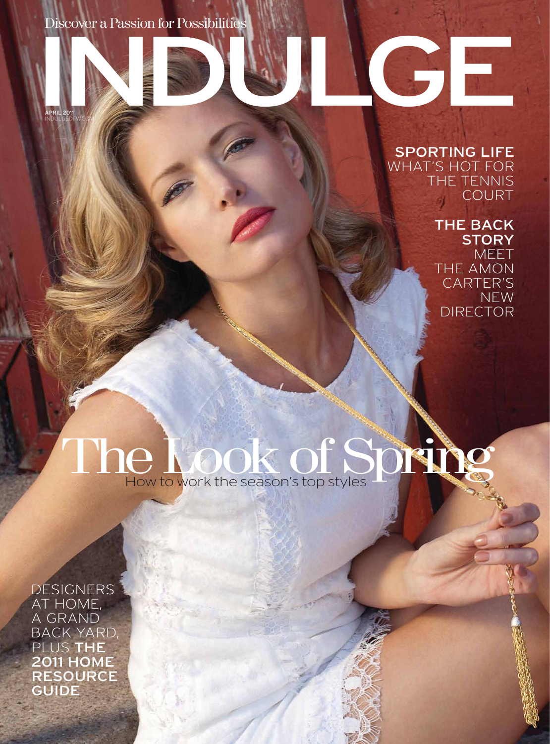Discover a Passion for Possibilities

APRIL 2011 INDULGEDFW.COM

## SPORTING LIFE WHAT'S HOT FOR THE TENNIS COURT

INDULGE

## THE BACK **STORY**

MEET THE AMON CARTER'S NEW DIRECTOR

The Look of Spring

DESIGNERS AT HOME, A GRAND BACK YARD, PLUS THE 2011 HOME RESOURCE GUIDE